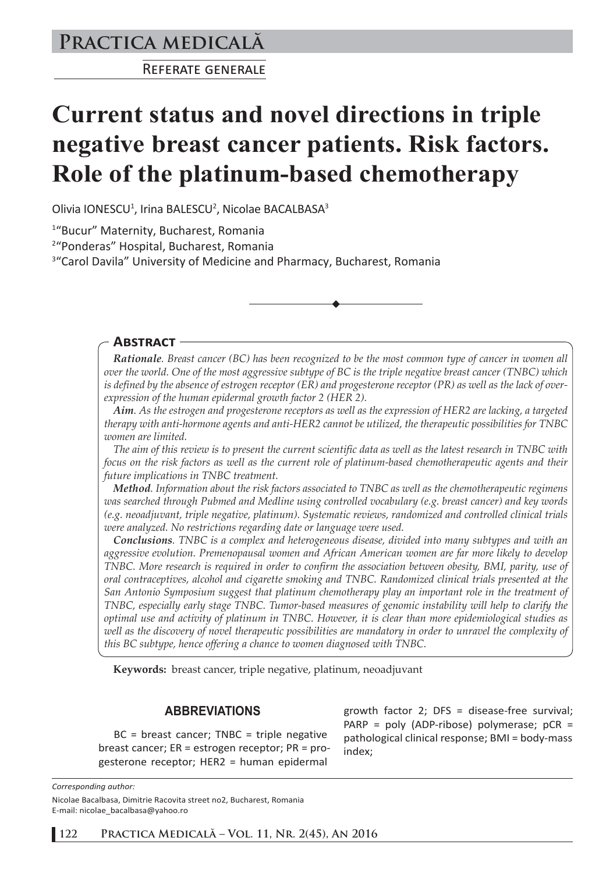# **Practica medicală**

REFERATE GENERALE

# **Current status and novel directions in triple negative breast cancer patients. Risk factors. Role of the platinum-based chemotherapy**

Olivia IONESCU<sup>1</sup>, Irina BALESCU<sup>2</sup>, Nicolae BACALBASA<sup>3</sup>

1 "Bucur" Maternity, Bucharest, Romania

2 "Ponderas" Hospital, Bucharest, Romania

<sup>3</sup>"Carol Davila" University of Medicine and Pharmacy, Bucharest, Romania

#### **ABSTRACT**

*Rationale. Breast cancer (BC) has been recognized to be the most common type of cancer in women all over the world. One of the most aggressive subtype of BC is the triple negative breast cancer (TNBC) which is defined by the absence of estrogen receptor (ER) and progesterone receptor (PR) as well as the lack of overexpression of the human epidermal growth factor 2 (HER 2).*

*Aim. As the estrogen and progesterone receptors as well as the expression of HER2 are lacking, a targeted therapy with anti-hormone agents and anti-HER2 cannot be utilized, the therapeutic possibilities for TNBC women are limited.*

*The aim of this review is to present the current scientific data as well as the latest research in TNBC with focus on the risk factors as well as the current role of platinum-based chemotherapeutic agents and their future implications in TNBC treatment.*

*Method. Information about the risk factors associated to TNBC as well as the chemotherapeutic regimens was searched through Pubmed and Medline using controlled vocabulary (e.g. breast cancer) and key words (e.g. neoadjuvant, triple negative, platinum). Systematic reviews, randomized and controlled clinical trials were analyzed. No restrictions regarding date or language were used.*

*Conclusions. TNBC is a complex and heterogeneous disease, divided into many subtypes and with an aggressive evolution. Premenopausal women and African American women are far more likely to develop TNBC. More research is required in order to confirm the association between obesity, BMI, parity, use of oral contraceptives, alcohol and cigarette smoking and TNBC. Randomized clinical trials presented at the San Antonio Symposium suggest that platinum chemotherapy play an important role in the treatment of TNBC, especially early stage TNBC. Tumor-based measures of genomic instability will help to clarify the optimal use and activity of platinum in TNBC. However, it is clear than more epidemiological studies as well as the discovery of novel therapeutic possibilities are mandatory in order to unravel the complexity of this BC subtype, hence offering a chance to women diagnosed with TNBC.* 

**Keywords:** breast cancer, triple negative, platinum, neoadjuvant

### **ABBREVIATIONS**

 $BC = breast cancer; TNBC = triple negative$ breast cancer; ER = estrogen receptor; PR = progesterone receptor; HER2 = human epidermal

growth factor 2; DFS = disease-free survival; PARP = poly (ADP-ribose) polymerase; pCR = pathological clinical response; BMI = body-mass index;

*Corresponding author:*  Nicolae Bacalbasa, Dimitrie Racovita street no2, Bucharest, Romania E-mail: nicolae\_bacalbasa@yahoo.ro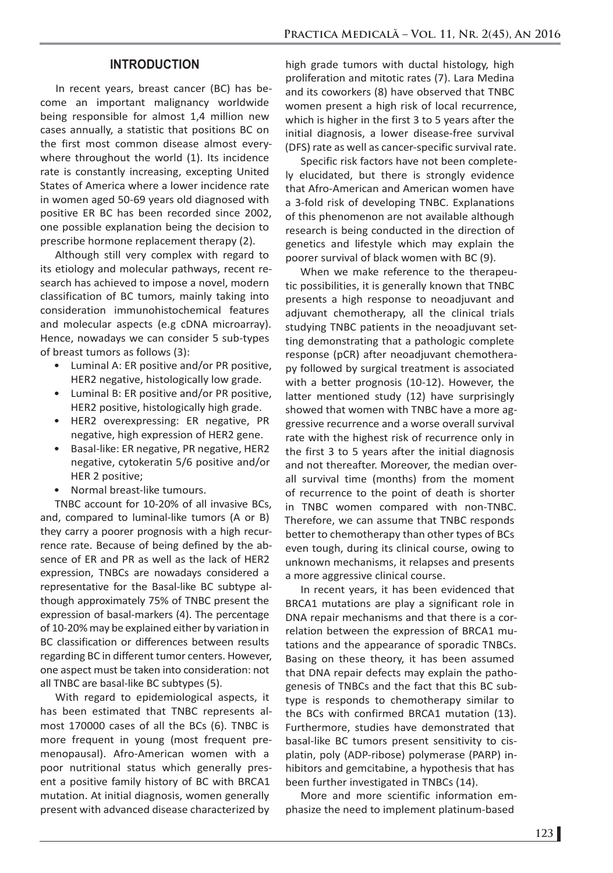### **INTRODUCTION**

In recent years, breast cancer (BC) has become an important malignancy worldwide being responsible for almost 1,4 million new cases annually, a statistic that positions BC on the first most common disease almost everywhere throughout the world (1). Its incidence rate is constantly increasing, excepting United States of America where a lower incidence rate in women aged 50-69 years old diagnosed with positive ER BC has been recorded since 2002, one possible explanation being the decision to prescribe hormone replacement therapy (2).

Although still very complex with regard to its etiology and molecular pathways, recent research has achieved to impose a novel, modern classification of BC tumors, mainly taking into consideration immunohistochemical features and molecular aspects (e.g cDNA microarray). Hence, nowadays we can consider 5 sub-types of breast tumors as follows (3):

- Luminal A: ER positive and/or PR positive, HER2 negative, histologically low grade.
- Luminal B: ER positive and/or PR positive, HER2 positive, histologically high grade.
- HER2 overexpressing: ER negative, PR negative, high expression of HER2 gene.
- Basal-like: ER negative, PR negative, HER2 negative, cytokeratin 5/6 positive and/or HER 2 positive;
- Normal breast-like tumours.

TNBC account for 10-20% of all invasive BCs, and, compared to luminal-like tumors (A or B) they carry a poorer prognosis with a high recurrence rate. Because of being defined by the absence of ER and PR as well as the lack of HER2 expression, TNBCs are nowadays considered a representative for the Basal-like BC subtype although approximately 75% of TNBC present the expression of basal-markers (4). The percentage of 10-20% may be explained either by variation in BC classification or differences between results regarding BC in different tumor centers. However, one aspect must be taken into consideration: not all TNBC are basal-like BC subtypes (5).

With regard to epidemiological aspects, it has been estimated that TNBC represents almost 170000 cases of all the BCs (6). TNBC is more frequent in young (most frequent premenopausal). Afro-American women with a poor nutritional status which generally present a positive family history of BC with BRCA1 mutation. At initial diagnosis, women generally present with advanced disease characterized by

high grade tumors with ductal histology, high proliferation and mitotic rates (7). Lara Medina and its coworkers (8) have observed that TNBC women present a high risk of local recurrence, which is higher in the first 3 to 5 years after the initial diagnosis, a lower disease-free survival (DFS) rate as well as cancer-specific survival rate.

Specific risk factors have not been completely elucidated, but there is strongly evidence that Afro-American and American women have a 3-fold risk of developing TNBC. Explanations of this phenomenon are not available although research is being conducted in the direction of genetics and lifestyle which may explain the poorer survival of black women with BC (9).

When we make reference to the therapeutic possibilities, it is generally known that TNBC presents a high response to neoadjuvant and adjuvant chemotherapy, all the clinical trials studying TNBC patients in the neoadjuvant setting demonstrating that a pathologic complete response (pCR) after neoadjuvant chemotherapy followed by surgical treatment is associated with a better prognosis (10-12). However, the latter mentioned study (12) have surprisingly showed that women with TNBC have a more aggressive recurrence and a worse overall survival rate with the highest risk of recurrence only in the first 3 to 5 years after the initial diagnosis and not thereafter. Moreover, the median overall survival time (months) from the moment of recurrence to the point of death is shorter in TNBC women compared with non-TNBC. Therefore, we can assume that TNBC responds better to chemotherapy than other types of BCs even tough, during its clinical course, owing to unknown mechanisms, it relapses and presents a more aggressive clinical course.

In recent years, it has been evidenced that BRCA1 mutations are play a significant role in DNA repair mechanisms and that there is a correlation between the expression of BRCA1 mutations and the appearance of sporadic TNBCs. Basing on these theory, it has been assumed that DNA repair defects may explain the pathogenesis of TNBCs and the fact that this BC subtype is responds to chemotherapy similar to the BCs with confirmed BRCA1 mutation (13). Furthermore, studies have demonstrated that basal-like BC tumors present sensitivity to cisplatin, poly (ADP-ribose) polymerase (PARP) inhibitors and gemcitabine, a hypothesis that has been further investigated in TNBCs (14).

More and more scientific information emphasize the need to implement platinum-based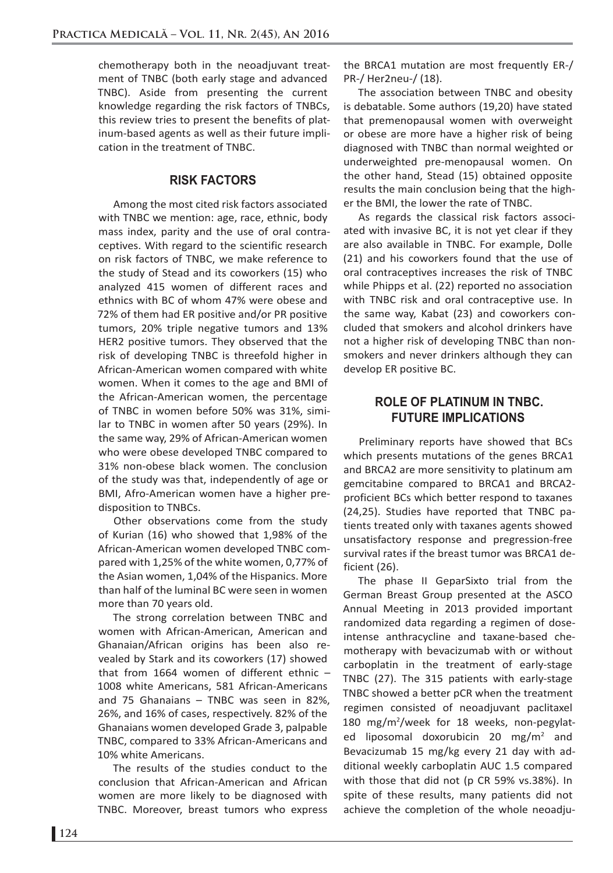chemotherapy both in the neoadjuvant treatment of TNBC (both early stage and advanced TNBC). Aside from presenting the current knowledge regarding the risk factors of TNBCs, this review tries to present the benefits of platinum-based agents as well as their future implication in the treatment of TNBC.

# **RISK FACTORS**

Among the most cited risk factors associated with TNBC we mention: age, race, ethnic, body mass index, parity and the use of oral contraceptives. With regard to the scientific research on risk factors of TNBC, we make reference to the study of Stead and its coworkers (15) who analyzed 415 women of different races and ethnics with BC of whom 47% were obese and 72% of them had ER positive and/or PR positive tumors, 20% triple negative tumors and 13% HER2 positive tumors. They observed that the risk of developing TNBC is threefold higher in African-American women compared with white women. When it comes to the age and BMI of the African-American women, the percentage of TNBC in women before 50% was 31%, similar to TNBC in women after 50 years (29%). In the same way, 29% of African-American women who were obese developed TNBC compared to 31% non-obese black women. The conclusion of the study was that, independently of age or BMI, Afro-American women have a higher predisposition to TNBCs.

Other observations come from the study of Kurian (16) who showed that 1,98% of the African-American women developed TNBC compared with 1,25% of the white women, 0,77% of the Asian women, 1,04% of the Hispanics. More than half of the luminal BC were seen in women more than 70 years old.

The strong correlation between TNBC and women with African-American, American and Ghanaian/African origins has been also revealed by Stark and its coworkers (17) showed that from 1664 women of different ethnic – 1008 white Americans, 581 African-Americans and 75 Ghanaians – TNBC was seen in 82%, 26%, and 16% of cases, respectively. 82% of the Ghanaians women developed Grade 3, palpable TNBC, compared to 33% African-Americans and 10% white Americans.

The results of the studies conduct to the conclusion that African-American and African women are more likely to be diagnosed with TNBC. Moreover, breast tumors who express

the BRCA1 mutation are most frequently ER-/ PR-/ Her2neu-/ (18).

The association between TNBC and obesity is debatable. Some authors (19,20) have stated that premenopausal women with overweight or obese are more have a higher risk of being diagnosed with TNBC than normal weighted or underweighted pre-menopausal women. On the other hand, Stead (15) obtained opposite results the main conclusion being that the higher the BMI, the lower the rate of TNBC.

As regards the classical risk factors associated with invasive BC, it is not yet clear if they are also available in TNBC. For example, Dolle (21) and his coworkers found that the use of oral contraceptives increases the risk of TNBC while Phipps et al. (22) reported no association with TNBC risk and oral contraceptive use. In the same way, Kabat (23) and coworkers concluded that smokers and alcohol drinkers have not a higher risk of developing TNBC than nonsmokers and never drinkers although they can develop ER positive BC.

# **ROLE OF PLATINUM IN TNBC. FUTURE IMPLICATIONS**

Preliminary reports have showed that BCs which presents mutations of the genes BRCA1 and BRCA2 are more sensitivity to platinum am gemcitabine compared to BRCA1 and BRCA2 proficient BCs which better respond to taxanes (24,25). Studies have reported that TNBC patients treated only with taxanes agents showed unsatisfactory response and pregression-free survival rates if the breast tumor was BRCA1 deficient (26).

The phase II GeparSixto trial from the German Breast Group presented at the ASCO Annual Meeting in 2013 provided important randomized data regarding a regimen of doseintense anthracycline and taxane-based chemotherapy with bevacizumab with or without carboplatin in the treatment of early-stage TNBC (27). The 315 patients with early-stage TNBC showed a better pCR when the treatment regimen consisted of neoadjuvant paclitaxel 180 mg/m<sup>2</sup>/week for 18 weeks, non-pegylated liposomal doxorubicin 20 mg/m<sup>2</sup> and Bevacizumab 15 mg/kg every 21 day with additional weekly carboplatin AUC 1.5 compared with those that did not (p CR 59% vs.38%). In spite of these results, many patients did not achieve the completion of the whole neoadju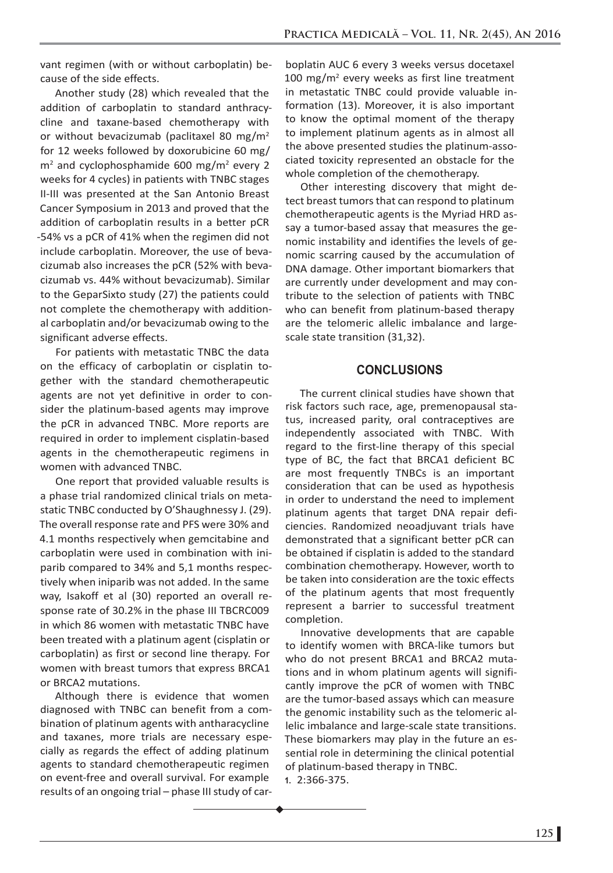vant regimen (with or without carboplatin) because of the side effects.

Another study (28) which revealed that the addition of carboplatin to standard anthracycline and taxane-based chemotherapy with or without bevacizumab (paclitaxel 80 mg/m2 for 12 weeks followed by doxorubicine 60 mg/ m<sup>2</sup> and cyclophosphamide 600 mg/m<sup>2</sup> every 2 weeks for 4 cycles) in patients with TNBC stages II-III was presented at the San Antonio Breast Cancer Symposium in 2013 and proved that the addition of carboplatin results in a better pCR -54% vs a pCR of 41% when the regimen did not include carboplatin. Moreover, the use of bevacizumab also increases the pCR (52% with bevacizumab vs. 44% without bevacizumab). Similar to the GeparSixto study (27) the patients could not complete the chemotherapy with additional carboplatin and/or bevacizumab owing to the significant adverse effects.

For patients with metastatic TNBC the data on the efficacy of carboplatin or cisplatin together with the standard chemotherapeutic agents are not yet definitive in order to consider the platinum-based agents may improve the pCR in advanced TNBC. More reports are required in order to implement cisplatin-based agents in the chemotherapeutic regimens in women with advanced TNBC.

One report that provided valuable results is a phase trial randomized clinical trials on metastatic TNBC conducted by O'Shaughnessy J. (29). The overall response rate and PFS were 30% and 4.1 months respectively when gemcitabine and carboplatin were used in combination with iniparib compared to 34% and 5,1 months respectively when iniparib was not added. In the same way, Isakoff et al (30) reported an overall response rate of 30.2% in the phase III TBCRC009 in which 86 women with metastatic TNBC have been treated with a platinum agent (cisplatin or carboplatin) as first or second line therapy. For women with breast tumors that express BRCA1 or BRCA2 mutations.

Although there is evidence that women diagnosed with TNBC can benefit from a combination of platinum agents with antharacycline and taxanes, more trials are necessary especially as regards the effect of adding platinum agents to standard chemotherapeutic regimen on event-free and overall survival. For example results of an ongoing trial – phase III study of car-

boplatin AUC 6 every 3 weeks versus docetaxel 100 mg/m2 every weeks as first line treatment in metastatic TNBC could provide valuable information (13). Moreover, it is also important to know the optimal moment of the therapy to implement platinum agents as in almost all the above presented studies the platinum-associated toxicity represented an obstacle for the whole completion of the chemotherapy.

Other interesting discovery that might detect breast tumors that can respond to platinum chemotherapeutic agents is the Myriad HRD assay a tumor-based assay that measures the genomic instability and identifies the levels of genomic scarring caused by the accumulation of DNA damage. Other important biomarkers that are currently under development and may contribute to the selection of patients with TNBC who can benefit from platinum-based therapy are the telomeric allelic imbalance and largescale state transition (31,32).

#### **CONCLUSIONS**

The current clinical studies have shown that risk factors such race, age, premenopausal status, increased parity, oral contraceptives are independently associated with TNBC. With regard to the first-line therapy of this special type of BC, the fact that BRCA1 deficient BC are most frequently TNBCs is an important consideration that can be used as hypothesis in order to understand the need to implement platinum agents that target DNA repair deficiencies. Randomized neoadjuvant trials have demonstrated that a significant better pCR can be obtained if cisplatin is added to the standard combination chemotherapy. However, worth to be taken into consideration are the toxic effects of the platinum agents that most frequently represent a barrier to successful treatment completion.

Innovative developments that are capable to identify women with BRCA-like tumors but who do not present BRCA1 and BRCA2 mutations and in whom platinum agents will significantly improve the pCR of women with TNBC are the tumor-based assays which can measure the genomic instability such as the telomeric allelic imbalance and large-scale state transitions. These biomarkers may play in the future an essential role in determining the clinical potential of platinum-based therapy in TNBC.

**1.** 2:366-375.